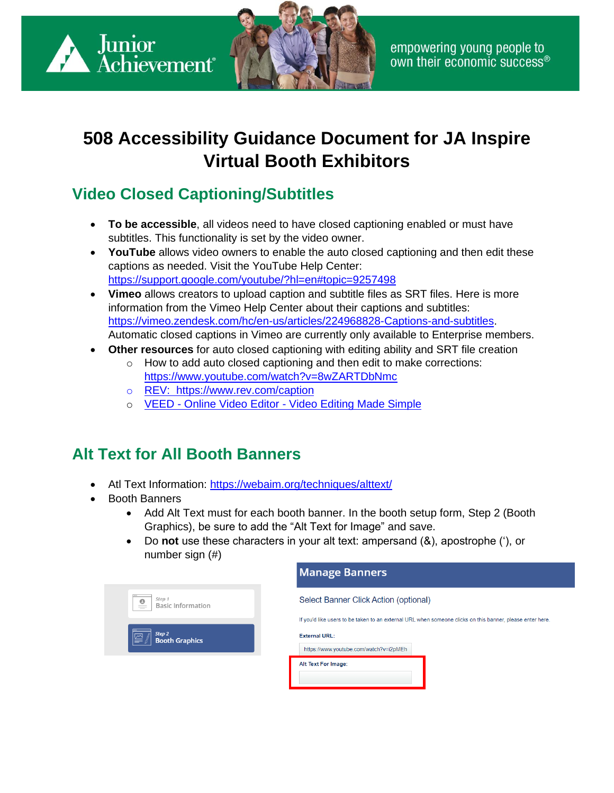



# **508 Accessibility Guidance Document for JA Inspire Virtual Booth Exhibitors**

## **Video Closed Captioning/Subtitles**

- **To be accessible**, all videos need to have closed captioning enabled or must have subtitles. This functionality is set by the video owner.
- **YouTube** allows video owners to enable the auto closed captioning and then edit these captions as needed. Visit the YouTube Help Center: <https://support.google.com/youtube/?hl=en#topic=9257498>
- **Vimeo** allows creators to upload caption and subtitle files as SRT files. Here is more information from the Vimeo Help Center about their captions and subtitles: [https://vimeo.zendesk.com/hc/en-us/articles/224968828-Captions-and-subtitles.](https://vimeo.zendesk.com/hc/en-us/articles/224968828-Captions-and-subtitles) Automatic closed captions in Vimeo are currently only available to Enterprise members.
- **Other resources** for auto closed captioning with editing ability and SRT file creation
	- o How to add auto closed captioning and then edit to make corrections: <https://www.youtube.com/watch?v=8wZARTDbNmc>
	- o [REV: https://www.rev.com/caption](https://www.rev.com/caption)
	- o VEED Online Video Editor [Video Editing Made Simple](https://www.veed.io/)

### **Alt Text for All Booth Banners**

- Atl Text Information:<https://webaim.org/techniques/alttext/>
- Booth Banners
	- Add Alt Text must for each booth banner. In the booth setup form, Step 2 (Booth Graphics), be sure to add the "Alt Text for Image" and save.
	- Do **not** use these characters in your alt text: ampersand (&), apostrophe ('), or number sign (#)

|                                                             | <b>Manage Banners</b>                                                                                     |
|-------------------------------------------------------------|-----------------------------------------------------------------------------------------------------------|
| Step 1<br>$\bullet$<br><b>Basic Information</b><br>$\equiv$ | Select Banner Click Action (optional)                                                                     |
|                                                             | If you'd like users to be taken to an external URL when someone clicks on this banner, please enter here. |
| Step 2<br><b>Booth Graphics</b>                             | <b>External URL:</b><br>https://www.youtube.com/watch?v=i2pMEh                                            |
|                                                             | Alt Text For Image:                                                                                       |